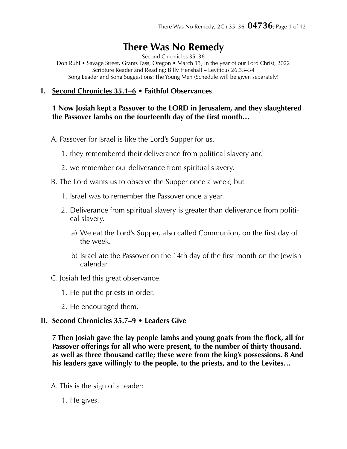# **There Was No Remedy**

Second Chronicles 35–36

Don Ruhl • Savage Street, Grants Pass, Oregon • March 13, In the year of our Lord Christ, 2022 Scripture Reader and Reading: Billy Henshall – Leviticus 26.33–34 Song Leader and Song Suggestions: The Young Men (Schedule will be given separately)

#### **I. Second Chronicles 35.1–6 • Faithful Observances**

#### **1 Now Josiah kept a Passover to the LORD in Jerusalem, and they slaughtered the Passover lambs on the fourteenth day of the first month…**

- A. Passover for Israel is like the Lord's Supper for us,
	- 1. they remembered their deliverance from political slavery and
	- 2. we remember our deliverance from spiritual slavery.
- B. The Lord wants us to observe the Supper once a week, but
	- 1. Israel was to remember the Passover once a year.
	- 2. Deliverance from spiritual slavery is greater than deliverance from political slavery.
		- a) We eat the Lord's Supper, also called Communion, on the first day of the week.
		- b) Israel ate the Passover on the 14th day of the first month on the Jewish calendar.

C. Josiah led this great observance.

- 1. He put the priests in order.
- 2. He encouraged them.

# **II. Second Chronicles 35.7–9 • Leaders Give**

**7 Then Josiah gave the lay people lambs and young goats from the flock, all for Passover offerings for all who were present, to the number of thirty thousand, as well as three thousand cattle; these were from the king's possessions. 8 And his leaders gave willingly to the people, to the priests, and to the Levites…** 

- A. This is the sign of a leader:
	- 1. He gives.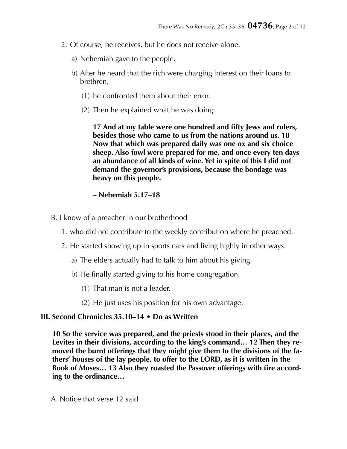- 2. Of course, he receives, but he does not receive alone.
	- a) Nehemiah gave to the people.
	- b) After he heard that the rich were charging interest on their loans to brethren,
		- (1) he confronted them about their error.
		- (2) Then he explained what he was doing:

**17 And at my table were one hundred and fifty Jews and rulers, besides those who came to us from the nations around us. 18 Now that which was prepared daily was one ox and six choice sheep. Also fowl were prepared for me, and once every ten days an abundance of all kinds of wine. Yet in spite of this I did not demand the governor's provisions, because the bondage was heavy on this people.** 

## **– Nehemiah 5.17–18**

- B. I know of a preacher in our brotherhood
	- 1. who did not contribute to the weekly contribution where he preached.
	- 2. He started showing up in sports cars and living highly in other ways.
		- a) The elders actually had to talk to him about his giving.
		- b) He finally started giving to his home congregation.
			- (1) That man is not a leader.
			- (2) He just uses his position for his own advantage.

# **III. Second Chronicles 35.10–14 • Do as Written**

**10 So the service was prepared, and the priests stood in their places, and the Levites in their divisions, according to the king's command… 12 Then they removed the burnt offerings that they might give them to the divisions of the fathers' houses of the lay people, to offer to the LORD, as it is written in the Book of Moses… 13 Also they roasted the Passover offerings with fire according to the ordinance…** 

A. Notice that verse 12 said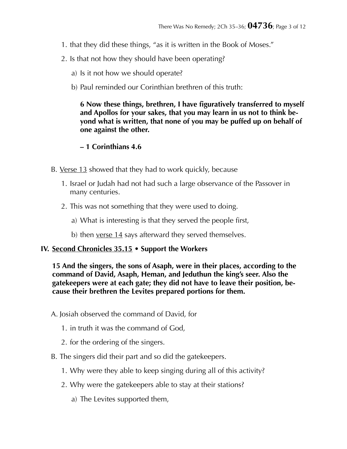- 1. that they did these things, "as it is written in the Book of Moses."
- 2. Is that not how they should have been operating?
	- a) Is it not how we should operate?
	- b) Paul reminded our Corinthian brethren of this truth:

**6 Now these things, brethren, I have figuratively transferred to myself and Apollos for your sakes, that you may learn in us not to think beyond what is written, that none of you may be puffed up on behalf of one against the other.** 

## **– 1 Corinthians 4.6**

- B. Verse 13 showed that they had to work quickly, because
	- 1. Israel or Judah had not had such a large observance of the Passover in many centuries.
	- 2. This was not something that they were used to doing.
		- a) What is interesting is that they served the people first,
		- b) then <u>verse 14</u> says afterward they served themselves.

#### **IV. Second Chronicles 35.15 • Support the Workers**

**15 And the singers, the sons of Asaph, were in their places, according to the command of David, Asaph, Heman, and Jeduthun the king's seer. Also the gatekeepers were at each gate; they did not have to leave their position, because their brethren the Levites prepared portions for them.** 

A. Josiah observed the command of David, for

- 1. in truth it was the command of God,
- 2. for the ordering of the singers.
- B. The singers did their part and so did the gatekeepers.
	- 1. Why were they able to keep singing during all of this activity?
	- 2. Why were the gatekeepers able to stay at their stations?
		- a) The Levites supported them,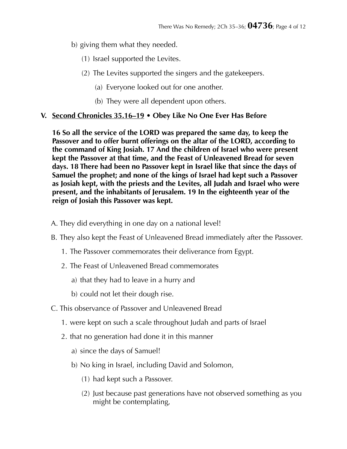- b) giving them what they needed.
	- (1) Israel supported the Levites.
	- (2) The Levites supported the singers and the gatekeepers.
		- (a) Everyone looked out for one another.
		- (b) They were all dependent upon others.

# **V. Second Chronicles 35.16–19 • Obey Like No One Ever Has Before**

**16 So all the service of the LORD was prepared the same day, to keep the Passover and to offer burnt offerings on the altar of the LORD, according to the command of King Josiah. 17 And the children of Israel who were present kept the Passover at that time, and the Feast of Unleavened Bread for seven days. 18 There had been no Passover kept in Israel like that since the days of Samuel the prophet; and none of the kings of Israel had kept such a Passover as Josiah kept, with the priests and the Levites, all Judah and Israel who were present, and the inhabitants of Jerusalem. 19 In the eighteenth year of the reign of Josiah this Passover was kept.** 

- A. They did everything in one day on a national level!
- B. They also kept the Feast of Unleavened Bread immediately after the Passover.
	- 1. The Passover commemorates their deliverance from Egypt.
	- 2. The Feast of Unleavened Bread commemorates
		- a) that they had to leave in a hurry and
		- b) could not let their dough rise.
- C. This observance of Passover and Unleavened Bread
	- 1. were kept on such a scale throughout Judah and parts of Israel
	- 2. that no generation had done it in this manner
		- a) since the days of Samuel!
		- b) No king in Israel, including David and Solomon,
			- (1) had kept such a Passover.
			- (2) Just because past generations have not observed something as you might be contemplating,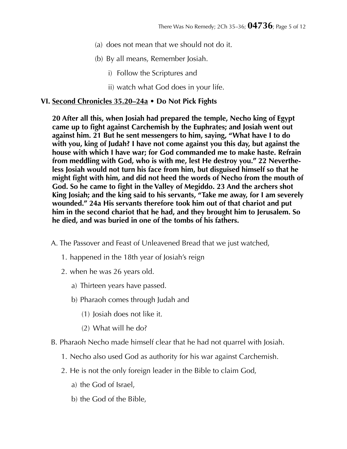- (a) does not mean that we should not do it.
- (b) By all means, Remember Josiah.
	- i) Follow the Scriptures and
	- ii) watch what God does in your life.

#### **VI. Second Chronicles 35.20–24a • Do Not Pick Fights**

**20 After all this, when Josiah had prepared the temple, Necho king of Egypt came up to fight against Carchemish by the Euphrates; and Josiah went out against him. 21 But he sent messengers to him, saying, "What have I to do with you, king of Judah? I have not come against you this day, but against the house with which I have war; for God commanded me to make haste. Refrain from meddling with God, who is with me, lest He destroy you." 22 Nevertheless Josiah would not turn his face from him, but disguised himself so that he might fight with him, and did not heed the words of Necho from the mouth of God. So he came to fight in the Valley of Megiddo. 23 And the archers shot King Josiah; and the king said to his servants, "Take me away, for I am severely wounded." 24a His servants therefore took him out of that chariot and put him in the second chariot that he had, and they brought him to Jerusalem. So he died, and was buried in one of the tombs of his fathers.** 

A. The Passover and Feast of Unleavened Bread that we just watched,

- 1. happened in the 18th year of Josiah's reign
- 2. when he was 26 years old.
	- a) Thirteen years have passed.
	- b) Pharaoh comes through Judah and
		- (1) Josiah does not like it.
		- (2) What will he do?
- B. Pharaoh Necho made himself clear that he had not quarrel with Josiah.
	- 1. Necho also used God as authority for his war against Carchemish.
	- 2. He is not the only foreign leader in the Bible to claim God,
		- a) the God of Israel,
		- b) the God of the Bible,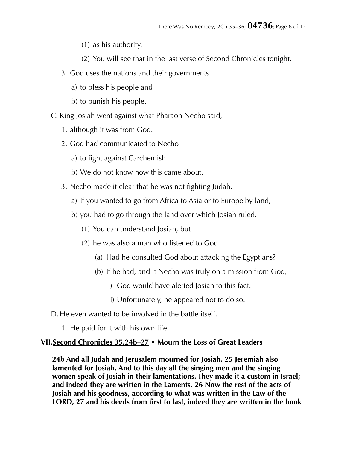- (1) as his authority.
- (2) You will see that in the last verse of Second Chronicles tonight.
- 3. God uses the nations and their governments
	- a) to bless his people and
	- b) to punish his people.
- C. King Josiah went against what Pharaoh Necho said,
	- 1. although it was from God.
	- 2. God had communicated to Necho
		- a) to fight against Carchemish.
		- b) We do not know how this came about.
	- 3. Necho made it clear that he was not fighting Judah.
		- a) If you wanted to go from Africa to Asia or to Europe by land,
		- b) you had to go through the land over which Josiah ruled.
			- (1) You can understand Josiah, but
			- (2) he was also a man who listened to God.
				- (a) Had he consulted God about attacking the Egyptians?
				- (b) If he had, and if Necho was truly on a mission from God,
					- i) God would have alerted Josiah to this fact.
					- ii) Unfortunately, he appeared not to do so.

D. He even wanted to be involved in the battle itself.

1. He paid for it with his own life.

#### **VII.Second Chronicles 35.24b–27 • Mourn the Loss of Great Leaders**

**24b And all Judah and Jerusalem mourned for Josiah. 25 Jeremiah also lamented for Josiah. And to this day all the singing men and the singing women speak of Josiah in their lamentations. They made it a custom in Israel; and indeed they are written in the Laments. 26 Now the rest of the acts of Josiah and his goodness, according to what was written in the Law of the LORD, 27 and his deeds from first to last, indeed they are written in the book**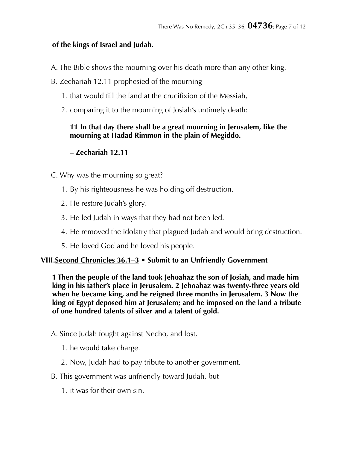# **of the kings of Israel and Judah.**

- A. The Bible shows the mourning over his death more than any other king.
- B. Zechariah 12.11 prophesied of the mourning
	- 1. that would fill the land at the crucifixion of the Messiah,
	- 2. comparing it to the mourning of Josiah's untimely death:

## **11 In that day there shall be a great mourning in Jerusalem, like the mourning at Hadad Rimmon in the plain of Megiddo.**

# **– Zechariah 12.11**

- C. Why was the mourning so great?
	- 1. By his righteousness he was holding off destruction.
	- 2. He restore Judah's glory.
	- 3. He led Judah in ways that they had not been led.
	- 4. He removed the idolatry that plagued Judah and would bring destruction.
	- 5. He loved God and he loved his people.

#### **VIII.Second Chronicles 36.1–3 • Submit to an Unfriendly Government**

**1 Then the people of the land took Jehoahaz the son of Josiah, and made him king in his father's place in Jerusalem. 2 Jehoahaz was twenty-three years old when he became king, and he reigned three months in Jerusalem. 3 Now the king of Egypt deposed him at Jerusalem; and he imposed on the land a tribute of one hundred talents of silver and a talent of gold.** 

- A. Since Judah fought against Necho, and lost,
	- 1. he would take charge.
	- 2. Now, Judah had to pay tribute to another government.
- B. This government was unfriendly toward Judah, but
	- 1. it was for their own sin.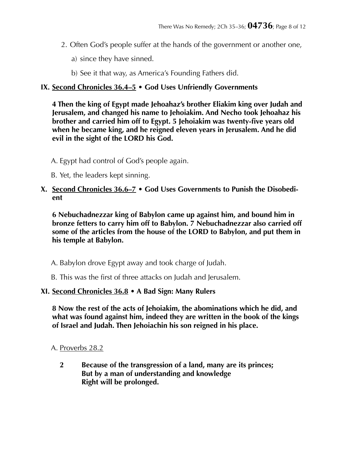- 2. Often God's people suffer at the hands of the government or another one,
	- a) since they have sinned.
	- b) See it that way, as America's Founding Fathers did.

# **IX. Second Chronicles 36.4–5 • God Uses Unfriendly Governments**

**4 Then the king of Egypt made Jehoahaz's brother Eliakim king over Judah and Jerusalem, and changed his name to Jehoiakim. And Necho took Jehoahaz his brother and carried him off to Egypt. 5 Jehoiakim was twenty-five years old when he became king, and he reigned eleven years in Jerusalem. And he did evil in the sight of the LORD his God.** 

- A. Egypt had control of God's people again.
- B. Yet, the leaders kept sinning.

#### **X. Second Chronicles 36.6–7 • God Uses Governments to Punish the Disobedient**

**6 Nebuchadnezzar king of Babylon came up against him, and bound him in bronze fetters to carry him off to Babylon. 7 Nebuchadnezzar also carried off some of the articles from the house of the LORD to Babylon, and put them in his temple at Babylon.** 

A. Babylon drove Egypt away and took charge of Judah.

B. This was the first of three attacks on Judah and Jerusalem.

# **XI. Second Chronicles 36.8 • A Bad Sign: Many Rulers**

**8 Now the rest of the acts of Jehoiakim, the abominations which he did, and what was found against him, indeed they are written in the book of the kings of Israel and Judah. Then Jehoiachin his son reigned in his place.** 

A. Proverbs 28.2

**2 Because of the transgression of a land, many are its princes; But by a man of understanding and knowledge Right will be prolonged.**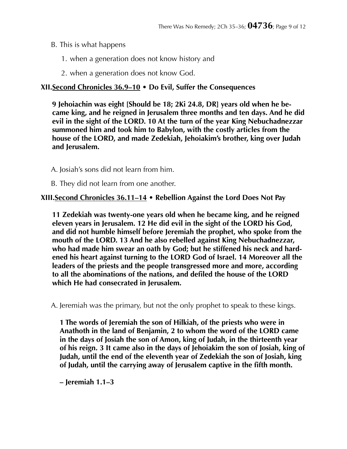- B. This is what happens
	- 1. when a generation does not know history and
	- 2. when a generation does not know God.

# **XII.Second Chronicles 36.9–10 • Do Evil, Suffer the Consequences**

**9 Jehoiachin was eight [Should be 18; 2Ki 24.8, DR] years old when he became king, and he reigned in Jerusalem three months and ten days. And he did evil in the sight of the LORD. 10 At the turn of the year King Nebuchadnezzar summoned him and took him to Babylon, with the costly articles from the house of the LORD, and made Zedekiah, Jehoiakim's brother, king over Judah and Jerusalem.** 

A. Josiah's sons did not learn from him.

B. They did not learn from one another.

## **XIII.Second Chronicles 36.11–14 • Rebellion Against the Lord Does Not Pay**

**11 Zedekiah was twenty-one years old when he became king, and he reigned eleven years in Jerusalem. 12 He did evil in the sight of the LORD his God, and did not humble himself before Jeremiah the prophet, who spoke from the mouth of the LORD. 13 And he also rebelled against King Nebuchadnezzar, who had made him swear an oath by God; but he stiffened his neck and hardened his heart against turning to the LORD God of Israel. 14 Moreover all the leaders of the priests and the people transgressed more and more, according to all the abominations of the nations, and defiled the house of the LORD which He had consecrated in Jerusalem.** 

A. Jeremiah was the primary, but not the only prophet to speak to these kings.

**1 The words of Jeremiah the son of Hilkiah, of the priests who were in Anathoth in the land of Benjamin, 2 to whom the word of the LORD came in the days of Josiah the son of Amon, king of Judah, in the thirteenth year of his reign. 3 It came also in the days of Jehoiakim the son of Josiah, king of Judah, until the end of the eleventh year of Zedekiah the son of Josiah, king of Judah, until the carrying away of Jerusalem captive in the fifth month.** 

**– Jeremiah 1.1–3**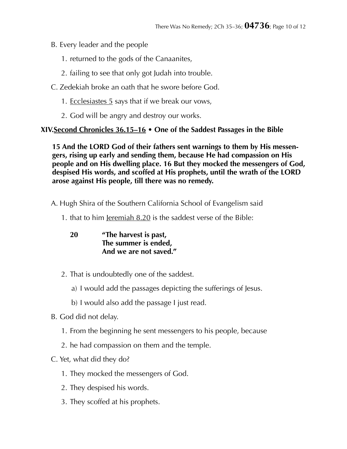- B. Every leader and the people
	- 1. returned to the gods of the Canaanites,
	- 2. failing to see that only got Judah into trouble.
- C. Zedekiah broke an oath that he swore before God.
	- 1. Ecclesiastes 5 says that if we break our vows,
	- 2. God will be angry and destroy our works.

# **XIV.Second Chronicles 36.15–16 • One of the Saddest Passages in the Bible**

**15 And the LORD God of their fathers sent warnings to them by His messengers, rising up early and sending them, because He had compassion on His people and on His dwelling place. 16 But they mocked the messengers of God, despised His words, and scoffed at His prophets, until the wrath of the LORD arose against His people, till there was no remedy.** 

A. Hugh Shira of the Southern California School of Evangelism said

1. that to him Jeremiah 8.20 is the saddest verse of the Bible:

**20 "The harvest is past, The summer is ended, And we are not saved."** 

- 2. That is undoubtedly one of the saddest.
	- a) I would add the passages depicting the sufferings of Jesus.
	- b) I would also add the passage I just read.
- B. God did not delay.
	- 1. From the beginning he sent messengers to his people, because
	- 2. he had compassion on them and the temple.
- C. Yet, what did they do?
	- 1. They mocked the messengers of God.
	- 2. They despised his words.
	- 3. They scoffed at his prophets.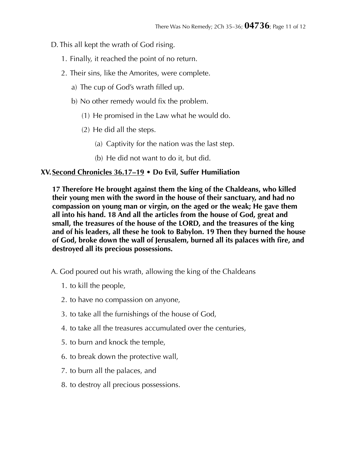D. This all kept the wrath of God rising.

- 1. Finally, it reached the point of no return.
- 2. Their sins, like the Amorites, were complete.
	- a) The cup of God's wrath filled up.
	- b) No other remedy would fix the problem.
		- (1) He promised in the Law what he would do.
		- (2) He did all the steps.
			- (a) Captivity for the nation was the last step.
			- (b) He did not want to do it, but did.

# **XV.Second Chronicles 36.17–19 • Do Evil, Suffer Humiliation**

**17 Therefore He brought against them the king of the Chaldeans, who killed their young men with the sword in the house of their sanctuary, and had no compassion on young man or virgin, on the aged or the weak; He gave them all into his hand. 18 And all the articles from the house of God, great and small, the treasures of the house of the LORD, and the treasures of the king and of his leaders, all these he took to Babylon. 19 Then they burned the house of God, broke down the wall of Jerusalem, burned all its palaces with fire, and destroyed all its precious possessions.** 

- A. God poured out his wrath, allowing the king of the Chaldeans
	- 1. to kill the people,
	- 2. to have no compassion on anyone,
	- 3. to take all the furnishings of the house of God,
	- 4. to take all the treasures accumulated over the centuries,
	- 5. to burn and knock the temple,
	- 6. to break down the protective wall,
	- 7. to burn all the palaces, and
	- 8. to destroy all precious possessions.